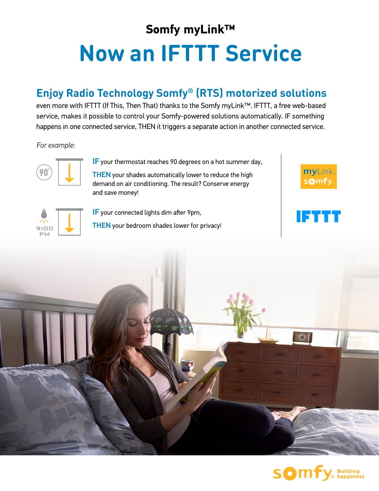## **Somfy myLink™ Now an IFTTT Service**

## **Enjoy Radio Technology Somfy® (RTS) motorized solutions**

even more with IFTTT (If This, Then That) thanks to the Somfy myLink™. IFTTT, a free web-based service, makes it possible to control your Somfy-powered solutions automatically. IF something happens in one connected service, THEN it triggers a separate action in another connected service.

*For example:*



IF your thermostat reaches 90 degrees on a hot summer day,

THEN your shades automatically lower to reduce the high demand on air conditioning. The result? Conserve energy and save money!

 $\mathsf{mv}$ Link sOmf

IETITT



IF your connected lights dim after 9pm,

THEN your bedroom shades lower for privacy!